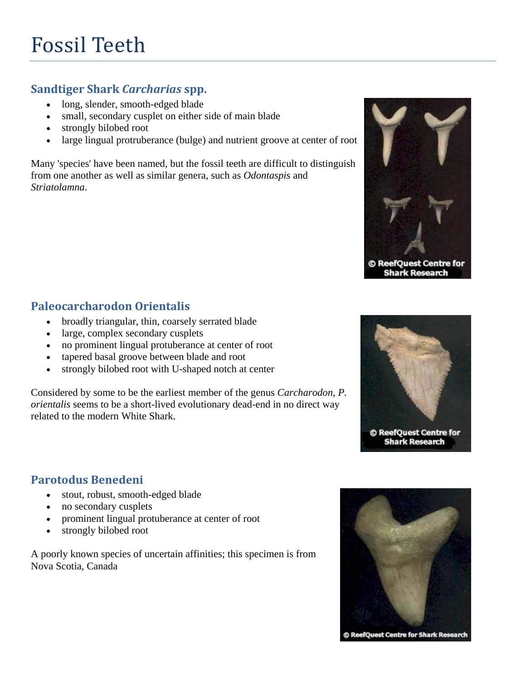## **Sandtiger Shark** *Carcharias* **spp.**

- long, slender, smooth-edged blade
- small, secondary cusplet on either side of main blade
- strongly bilobed root
- large lingual protruberance (bulge) and nutrient groove at center of root

Many 'species' have been named, but the fossil teeth are difficult to distinguish from one another as well as similar genera, such as *Odontaspis* and *Striatolamna*.



#### **Paleocarcharodon Orientalis**

- broadly triangular, thin, coarsely serrated blade
- large, complex secondary cusplets
- no prominent lingual protuberance at center of root
- tapered basal groove between blade and root
- strongly bilobed root with U-shaped notch at center

Considered by some to be the earliest member of the genus *Carcharodon*, *P. orientalis* seems to be a short-lived evolutionary dead-end in no direct way related to the modern White Shark.



© ReefQuest Centre for **Shark Research** 

#### **Parotodus Benedeni**

- stout, robust, smooth-edged blade
- no secondary cusplets
- prominent lingual protuberance at center of root
- strongly bilobed root

A poorly known species of uncertain affinities; this specimen is from Nova Scotia, Canada



© ReefQuest Centre for Shark Research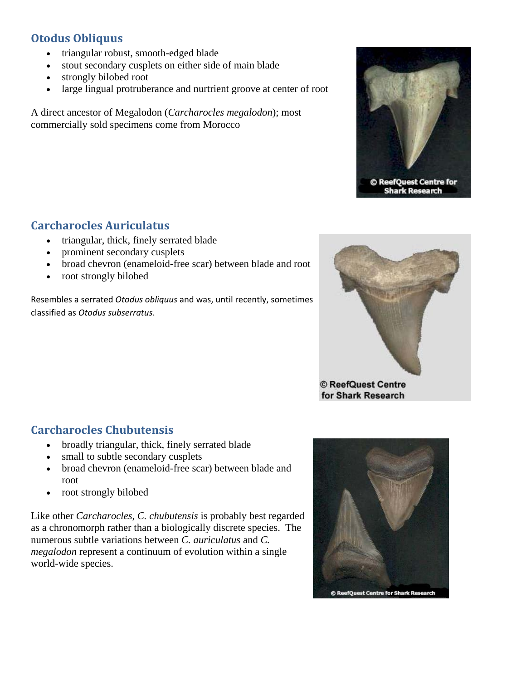## **Otodus Obliquus**

- triangular robust, smooth-edged blade
- stout secondary cusplets on either side of main blade
- strongly bilobed root
- large lingual protruberance and nurtrient groove at center of root

A direct ancestor of Megalodon (*Carcharocles megalodon*); most commercially sold specimens come from Morocco



© ReefQuest Centre for **Shark Research** 

#### **Carcharocles Auriculatus**

- triangular, thick, finely serrated blade
- prominent secondary cusplets
- broad chevron (enameloid-free scar) between blade and root
- root strongly bilobed

Resembles a serrated *Otodus obliquus* and was, until recently, sometimes classified as *Otodus subserratus*.



for Shark Research

## **Carcharocles Chubutensis**

- broadly triangular, thick, finely serrated blade
- small to subtle secondary cusplets
- broad chevron (enameloid-free scar) between blade and root
- root strongly bilobed

Like other *Carcharocles*, *C. chubutensis* is probably best regarded as a chronomorph rather than a biologically discrete species. The numerous subtle variations between *C. auriculatus* and *C. megalodon* represent a continuum of evolution within a single world-wide species.

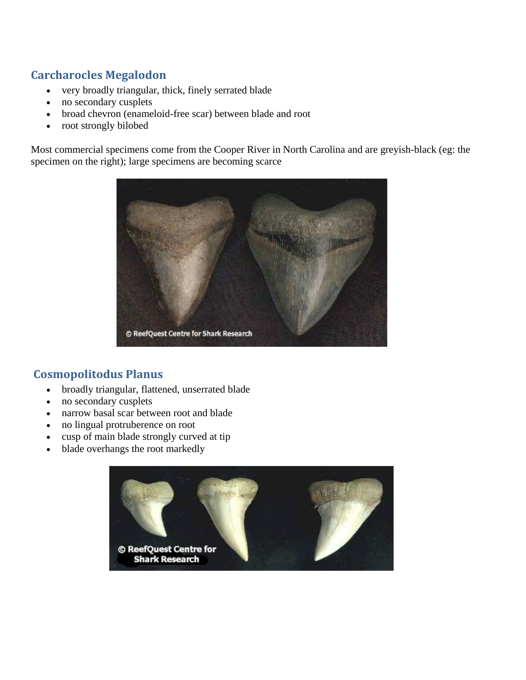## **Carcharocles Megalodon**

- very broadly triangular, thick, finely serrated blade
- no secondary cusplets
- broad chevron (enameloid-free scar) between blade and root
- root strongly bilobed

Most commercial specimens come from the Cooper River in North Carolina and are greyish-black (eg: the specimen on the right); large specimens are becoming scarce



## **Cosmopolitodus Planus**

- broadly triangular, flattened, unserrated blade
- no secondary cusplets
- narrow basal scar between root and blade
- no lingual protruberence on root
- cusp of main blade strongly curved at tip
- blade overhangs the root markedly

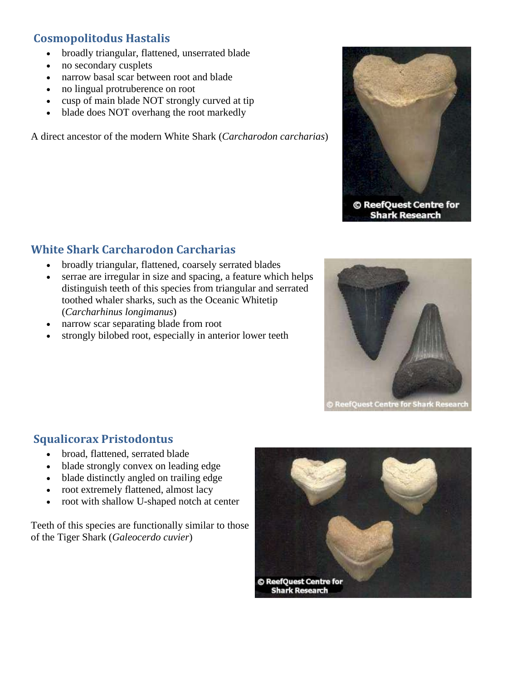# **Cosmopolitodus Hastalis**

- broadly triangular, flattened, unserrated blade
- no secondary cusplets
- narrow basal scar between root and blade
- no lingual protruberence on root
- cusp of main blade NOT strongly curved at tip
- blade does NOT overhang the root markedly

A direct ancestor of the modern White Shark (*Carcharodon carcharias*)



**Shark Research** 

#### **White Shark Carcharodon Carcharias**

- broadly triangular, flattened, coarsely serrated blades
- serrae are irregular in size and spacing, a feature which helps distinguish teeth of this species from triangular and serrated toothed whaler sharks, such as the Oceanic Whitetip (*Carcharhinus longimanus*)
- narrow scar separating blade from root
- strongly bilobed root, especially in anterior lower teeth



## **Squalicorax Pristodontus**

- broad, flattened, serrated blade
- blade strongly convex on leading edge
- blade distinctly angled on trailing edge
- root extremely flattened, almost lacy
- root with shallow U-shaped notch at center

Teeth of this species are functionally similar to those of the Tiger Shark (*Galeocerdo cuvier*)

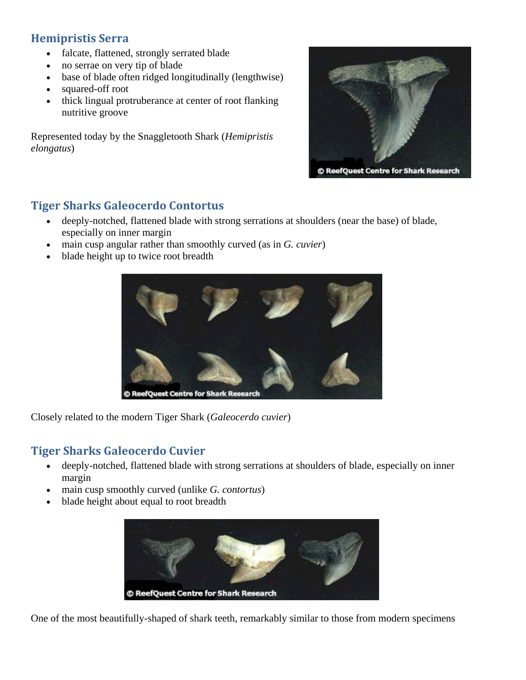## **Hemipristis Serra**

- falcate, flattened, strongly serrated blade
- no serrae on very tip of blade
- base of blade often ridged longitudinally (lengthwise)
- squared-off root
- thick lingual protruberance at center of root flanking nutritive groove

Represented today by the Snaggletooth Shark (*Hemipristis elongatus*)



#### **Tiger Sharks Galeocerdo Contortus**

- deeply-notched, flattened blade with strong serrations at shoulders (near the base) of blade, especially on inner margin
- main cusp angular rather than smoothly curved (as in *G. cuvier*)
- blade height up to twice root breadth



Closely related to the modern Tiger Shark (*Galeocerdo cuvier*)

#### **Tiger Sharks Galeocerdo Cuvier**

- deeply-notched, flattened blade with strong serrations at shoulders of blade, especially on inner margin
- main cusp smoothly curved (unlike *G. contortus*)
- blade height about equal to root breadth



One of the most beautifully-shaped of shark teeth, remarkably similar to those from modern specimens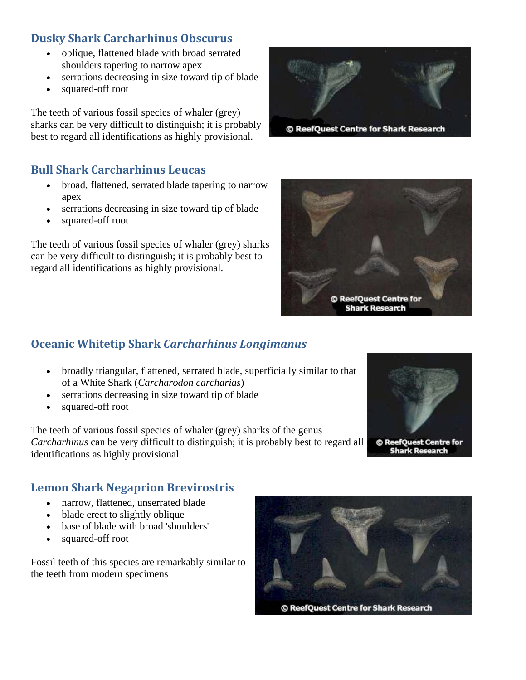## **Dusky Shark Carcharhinus Obscurus**

- oblique, flattened blade with broad serrated shoulders tapering to narrow apex
- serrations decreasing in size toward tip of blade
- squared-off root

The teeth of various fossil species of whaler (grey) sharks can be very difficult to distinguish; it is probably best to regard all identifications as highly provisional.



#### **Bull Shark Carcharhinus Leucas**

- broad, flattened, serrated blade tapering to narrow apex
- serrations decreasing in size toward tip of blade
- squared-off root

The teeth of various fossil species of whaler (grey) sharks can be very difficult to distinguish; it is probably best to regard all identifications as highly provisional.



## **Oceanic Whitetip Shark** *Carcharhinus Longimanus*

- broadly triangular, flattened, serrated blade, superficially similar to that of a White Shark (*Carcharodon carcharias*)
- serrations decreasing in size toward tip of blade
- squared-off root

The teeth of various fossil species of whaler (grey) sharks of the genus *Carcharhinus* can be very difficult to distinguish; it is probably best to regard all identifications as highly provisional.



**Shark Research** 

## **Lemon Shark Negaprion Brevirostris**

- narrow, flattened, unserrated blade
- blade erect to slightly oblique
- base of blade with broad 'shoulders'
- squared-off root

Fossil teeth of this species are remarkably similar to the teeth from modern specimens

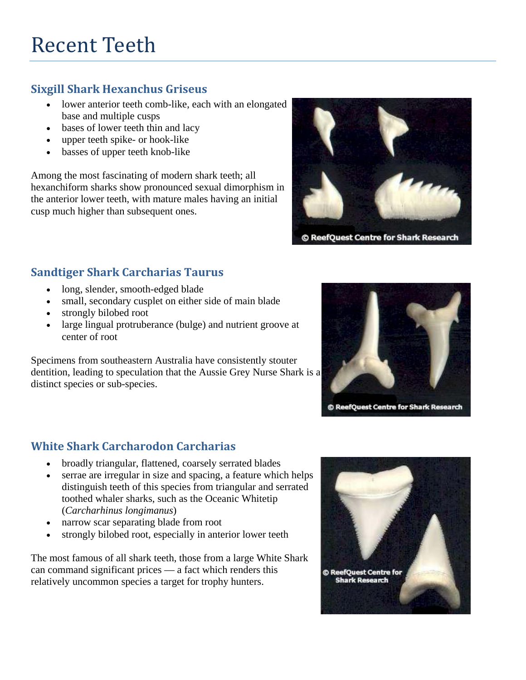# **Sixgill Shark Hexanchus Griseus**

- lower anterior teeth comb-like, each with an elongated base and multiple cusps
- bases of lower teeth thin and lacy
- upper teeth spike- or hook-like
- basses of upper teeth knob-like

Among the most fascinating of modern shark teeth; all hexanchiform sharks show pronounced sexual dimorphism in the anterior lower teeth, with mature males having an initial cusp much higher than subsequent ones.



© ReefQuest Centre for Shark Research

# **Sandtiger Shark Carcharias Taurus**

- long, slender, smooth-edged blade
- small, secondary cusplet on either side of main blade
- strongly bilobed root
- large lingual protruberance (bulge) and nutrient groove at center of root

Specimens from southeastern Australia have consistently stouter dentition, leading to speculation that the Aussie Grey Nurse Shark is a distinct species or sub-species.



## **White Shark Carcharodon Carcharias**

- broadly triangular, flattened, coarsely serrated blades
- serrae are irregular in size and spacing, a feature which helps distinguish teeth of this species from triangular and serrated toothed whaler sharks, such as the Oceanic Whitetip (*Carcharhinus longimanus*)
- narrow scar separating blade from root
- strongly bilobed root, especially in anterior lower teeth

The most famous of all shark teeth, those from a large White Shark can command significant prices — a fact which renders this relatively uncommon species a target for trophy hunters.

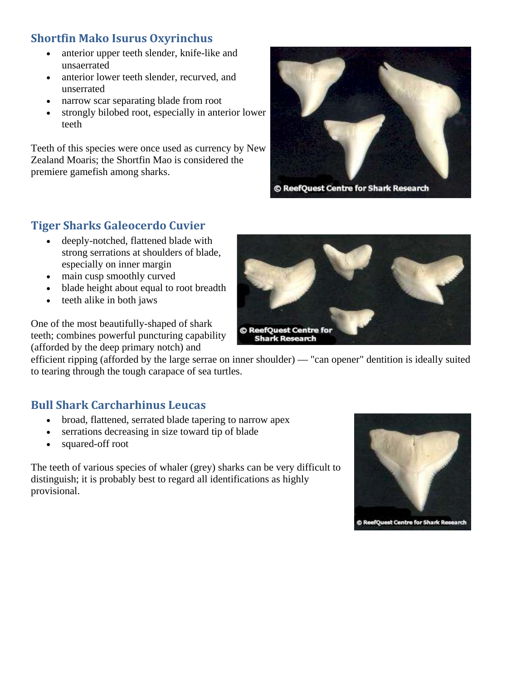## **Shortfin Mako Isurus Oxyrinchus**

- anterior upper teeth slender, knife-like and unsaerrated
- anterior lower teeth slender, recurved, and unserrated
- narrow scar separating blade from root
- strongly bilobed root, especially in anterior lower teeth

Teeth of this species were once used as currency by New Zealand Moaris; the Shortfin Mao is considered the premiere gamefish among sharks.



© ReefQuest Centre for Shark Research

#### **Tiger Sharks Galeocerdo Cuvier**

- deeply-notched, flattened blade with strong serrations at shoulders of blade, especially on inner margin
- main cusp smoothly curved
- blade height about equal to root breadth
- teeth alike in both jaws

One of the most beautifully-shaped of shark teeth; combines powerful puncturing capability (afforded by the deep primary notch) and



efficient ripping (afforded by the large serrae on inner shoulder) — "can opener" dentition is ideally suited to tearing through the tough carapace of sea turtles.

#### **Bull Shark Carcharhinus Leucas**

- broad, flattened, serrated blade tapering to narrow apex
- serrations decreasing in size toward tip of blade
- squared-off root

The teeth of various species of whaler (grey) sharks can be very difficult to distinguish; it is probably best to regard all identifications as highly provisional.



© ReefQuest Centre for Shark Research